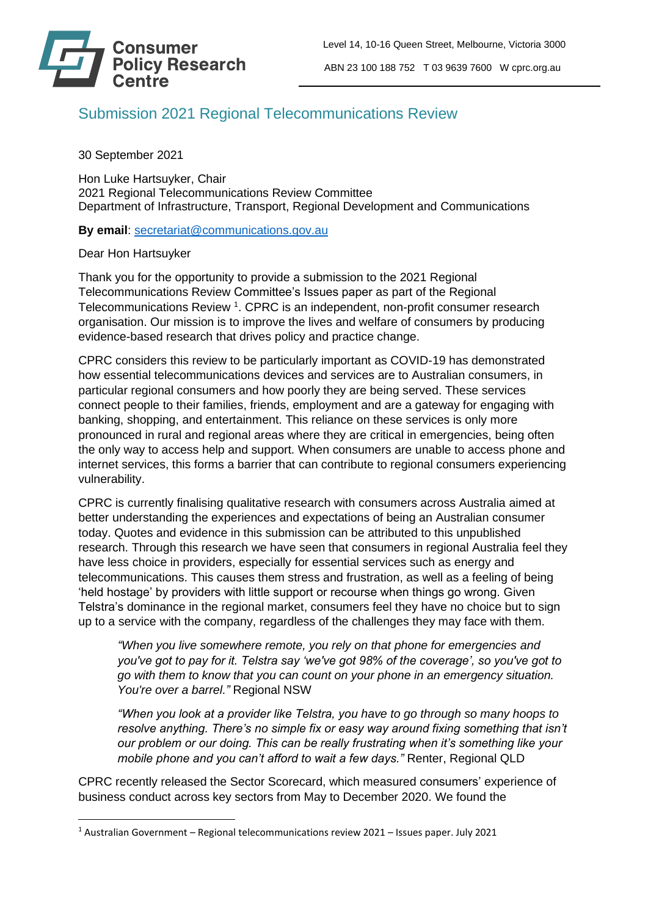

## Submission 2021 Regional Telecommunications Review

30 September 2021

Hon Luke Hartsuyker, Chair 2021 Regional Telecommunications Review Committee Department of Infrastructure, Transport, Regional Development and Communications

**By email**: [secretariat@communications.gov.au](mailto:secretariat@communications.gov.au)

Dear Hon Hartsuyker

Thank you for the opportunity to provide a submission to the 2021 Regional Telecommunications Review Committee's Issues paper as part of the Regional Telecommunications Review<sup>1</sup>. CPRC is an independent, non-profit consumer research organisation. Our mission is to improve the lives and welfare of consumers by producing evidence-based research that drives policy and practice change.

CPRC considers this review to be particularly important as COVID-19 has demonstrated how essential telecommunications devices and services are to Australian consumers, in particular regional consumers and how poorly they are being served. These services connect people to their families, friends, employment and are a gateway for engaging with banking, shopping, and entertainment. This reliance on these services is only more pronounced in rural and regional areas where they are critical in emergencies, being often the only way to access help and support. When consumers are unable to access phone and internet services, this forms a barrier that can contribute to regional consumers experiencing vulnerability.

CPRC is currently finalising qualitative research with consumers across Australia aimed at better understanding the experiences and expectations of being an Australian consumer today. Quotes and evidence in this submission can be attributed to this unpublished research. Through this research we have seen that consumers in regional Australia feel they have less choice in providers, especially for essential services such as energy and telecommunications. This causes them stress and frustration, as well as a feeling of being 'held hostage' by providers with little support or recourse when things go wrong. Given Telstra's dominance in the regional market, consumers feel they have no choice but to sign up to a service with the company, regardless of the challenges they may face with them.

*"When you live somewhere remote, you rely on that phone for emergencies and you've got to pay for it. Telstra say 'we've got 98% of the coverage', so you've got to go with them to know that you can count on your phone in an emergency situation. You're over a barrel."* Regional NSW

*"When you look at a provider like Telstra, you have to go through so many hoops to resolve anything. There's no simple fix or easy way around fixing something that isn't our problem or our doing. This can be really frustrating when it's something like your mobile phone and you can't afford to wait a few days."* Renter, Regional QLD

CPRC recently released the Sector Scorecard, which measured consumers' experience of business conduct across key sectors from May to December 2020. We found the

<sup>1</sup> Australian Government – Regional telecommunications review 2021 – Issues paper. July 2021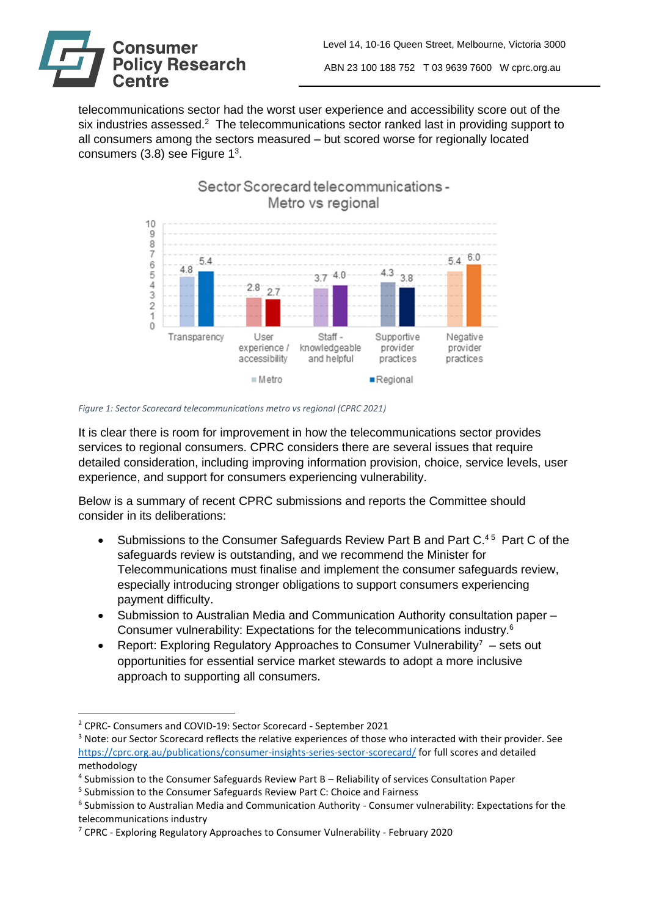

telecommunications sector had the worst user experience and accessibility score out of the six industries assessed.<sup>2</sup> The telecommunications sector ranked last in providing support to all consumers among the sectors measured – but scored worse for regionally located consumers (3.8) see Figure 1<sup>3</sup>.



## *Figure 1: Sector Scorecard telecommunications metro vs regional (CPRC 2021)*

It is clear there is room for improvement in how the telecommunications sector provides services to regional consumers. CPRC considers there are several issues that require detailed consideration, including improving information provision, choice, service levels, user experience, and support for consumers experiencing vulnerability.

Below is a summary of recent CPRC submissions and reports the Committee should consider in its deliberations:

- Submissions to the Consumer Safeguards Review Part B and Part  $C^{45}$  Part C of the safeguards review is outstanding, and we recommend the Minister for Telecommunications must finalise and implement the consumer safeguards review, especially introducing stronger obligations to support consumers experiencing payment difficulty.
- Submission to Australian Media and Communication Authority consultation paper Consumer vulnerability: Expectations for the telecommunications industry.<sup>6</sup>
- Report: Exploring Regulatory Approaches to Consumer Vulnerability<sup>7</sup> sets out opportunities for essential service market stewards to adopt a more inclusive approach to supporting all consumers.

<sup>2</sup> CPRC- Consumers and COVID-19: Sector Scorecard - September 2021

<sup>3</sup> Note: our Sector Scorecard reflects the relative experiences of those who interacted with their provider. See <https://cprc.org.au/publications/consumer-insights-series-sector-scorecard/> for full scores and detailed methodology

<sup>4</sup> Submission to the Consumer Safeguards Review Part B – Reliability of services Consultation Paper

<sup>&</sup>lt;sup>5</sup> Submission to the Consumer Safeguards Review Part C: Choice and Fairness

<sup>&</sup>lt;sup>6</sup> Submission to Australian Media and Communication Authority - Consumer vulnerability: Expectations for the telecommunications industry

<sup>7</sup> CPRC - Exploring Regulatory Approaches to Consumer Vulnerability - February 2020